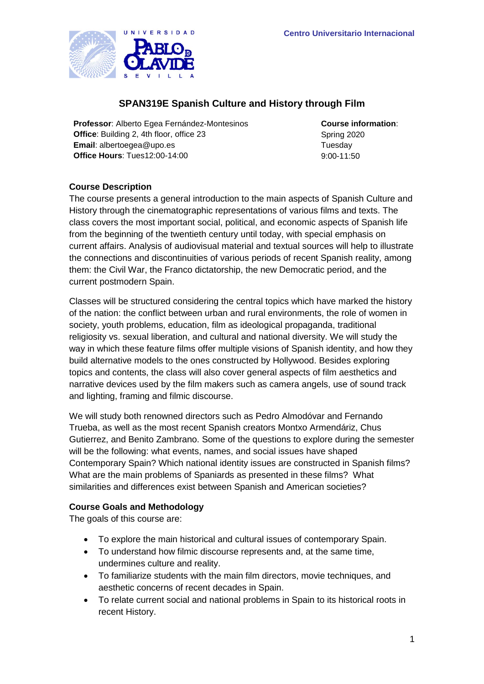

# **SPAN319E Spanish Culture and History through Film**

**Professor**: Alberto Egea Fernández-Montesinos **Course information**: **Office**: Building 2, 4th floor, office 23 Spring 2020 **Email**: albertoegea@upo.es Tuesday **Office Hours**: Tues12:00-14:00 9:00-11:50

# **Course Description**

The course presents a general introduction to the main aspects of Spanish Culture and History through the cinematographic representations of various films and texts. The class covers the most important social, political, and economic aspects of Spanish life from the beginning of the twentieth century until today, with special emphasis on current affairs. Analysis of audiovisual material and textual sources will help to illustrate the connections and discontinuities of various periods of recent Spanish reality, among them: the Civil War, the Franco dictatorship, the new Democratic period, and the current postmodern Spain.

Classes will be structured considering the central topics which have marked the history of the nation: the conflict between urban and rural environments, the role of women in society, youth problems, education, film as ideological propaganda, traditional religiosity vs. sexual liberation, and cultural and national diversity. We will study the way in which these feature films offer multiple visions of Spanish identity, and how they build alternative models to the ones constructed by Hollywood. Besides exploring topics and contents, the class will also cover general aspects of film aesthetics and narrative devices used by the film makers such as camera angels, use of sound track and lighting, framing and filmic discourse.

We will study both renowned directors such as Pedro Almodóvar and Fernando Trueba, as well as the most recent Spanish creators Montxo Armendáriz, Chus Gutierrez, and Benito Zambrano. Some of the questions to explore during the semester will be the following: what events, names, and social issues have shaped Contemporary Spain? Which national identity issues are constructed in Spanish films? What are the main problems of Spaniards as presented in these films? What similarities and differences exist between Spanish and American societies?

### **Course Goals and Methodology**

The goals of this course are:

- To explore the main historical and cultural issues of contemporary Spain.
- To understand how filmic discourse represents and, at the same time, undermines culture and reality.
- To familiarize students with the main film directors, movie techniques, and aesthetic concerns of recent decades in Spain.
- To relate current social and national problems in Spain to its historical roots in recent History.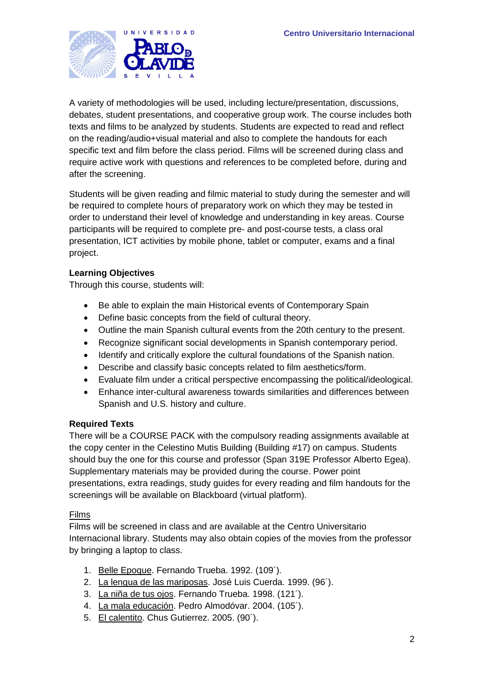

A variety of methodologies will be used, including lecture/presentation, discussions, debates, student presentations, and cooperative group work. The course includes both texts and films to be analyzed by students. Students are expected to read and reflect on the reading/audio+visual material and also to complete the handouts for each specific text and film before the class period. Films will be screened during class and require active work with questions and references to be completed before, during and after the screening.

Students will be given reading and filmic material to study during the semester and will be required to complete hours of preparatory work on which they may be tested in order to understand their level of knowledge and understanding in key areas. Course participants will be required to complete pre- and post-course tests, a class oral presentation, ICT activities by mobile phone, tablet or computer, exams and a final project.

# **Learning Objectives**

Through this course, students will:

- Be able to explain the main Historical events of Contemporary Spain
- Define basic concepts from the field of cultural theory.
- Outline the main Spanish cultural events from the 20th century to the present.
- Recognize significant social developments in Spanish contemporary period.
- Identify and critically explore the cultural foundations of the Spanish nation.
- Describe and classify basic concepts related to film aesthetics/form.
- Evaluate film under a critical perspective encompassing the political/ideological.
- Enhance inter-cultural awareness towards similarities and differences between Spanish and U.S. history and culture.

### **Required Texts**

There will be a COURSE PACK with the compulsory reading assignments available at the copy center in the Celestino Mutis Building (Building #17) on campus. Students should buy the one for this course and professor (Span 319E Professor Alberto Egea). Supplementary materials may be provided during the course. Power point presentations, extra readings, study guides for every reading and film handouts for the screenings will be available on Blackboard (virtual platform).

### Films

Films will be screened in class and are available at the Centro Universitario Internacional library. Students may also obtain copies of the movies from the professor by bringing a laptop to class.

- 1. Belle Epoque. Fernando Trueba. 1992. (109´).
- 2. La lengua de las mariposas. José Luis Cuerda. 1999. (96´).
- 3. La niña de tus ojos. Fernando Trueba. 1998. (121´).
- 4. La mala educación. Pedro Almodóvar. 2004. (105´).
- 5. El calentito. Chus Gutierrez. 2005. (90´).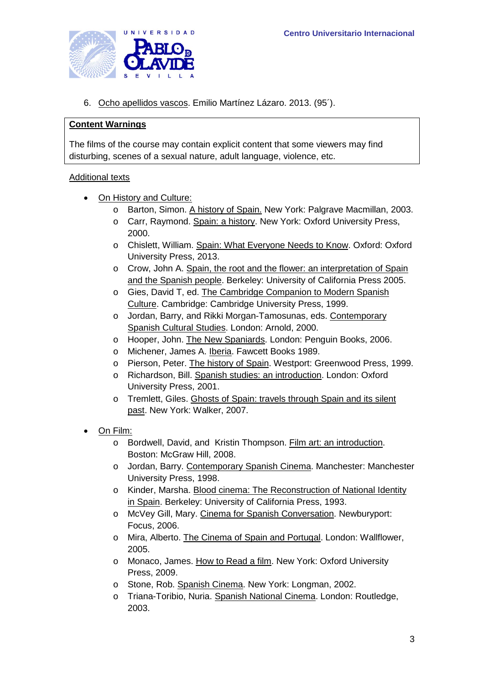

6. Ocho apellidos vascos. Emilio Martínez Lázaro. 2013. (95´).

### **Content Warnings**

The films of the course may contain explicit content that some viewers may find disturbing, scenes of a sexual nature, adult language, violence, etc.

#### Additional texts

- On History and Culture:
	- o Barton, Simon. A history of Spain. New York: Palgrave Macmillan, 2003.
	- o Carr, Raymond. Spain: a history. New York: Oxford University Press, 2000.
	- o Chislett, William. Spain: What Everyone Needs to Know. Oxford: Oxford University Press, 2013.
	- $\circ$  Crow, John A. Spain, the root and the flower: an interpretation of Spain and the Spanish people. Berkeley: University of California Press 2005.
	- o Gies, David T, ed. The Cambridge Companion to Modern Spanish Culture. Cambridge: Cambridge University Press, 1999.
	- o Jordan, Barry, and Rikki Morgan-Tamosunas, eds. Contemporary Spanish Cultural Studies. London: Arnold, 2000.
	- o Hooper, John. The New Spaniards. London: Penguin Books, 2006.
	- o Michener, James A. Iberia. Fawcett Books 1989.
	- o Pierson, Peter. The history of Spain. Westport: Greenwood Press, 1999.
	- o Richardson, Bill. Spanish studies: an introduction. London: Oxford University Press, 2001.
	- o Tremlett, Giles. Ghosts of Spain: travels through Spain and its silent past. New York: Walker, 2007.
- On Film:
	- o Bordwell, David, and Kristin Thompson. Film art: an introduction. Boston: McGraw Hill, 2008.
	- o Jordan, Barry. Contemporary Spanish Cinema. Manchester: Manchester University Press, 1998.
	- o Kinder, Marsha. Blood cinema: The Reconstruction of National Identity in Spain. Berkeley: University of California Press, 1993.
	- o McVey Gill, Mary. Cinema for Spanish Conversation. Newburyport: Focus, 2006.
	- o Mira, Alberto. The Cinema of Spain and Portugal. London: Wallflower, 2005.
	- o Monaco, James. How to Read a film. New York: Oxford University Press, 2009.
	- o Stone, Rob. Spanish Cinema. New York: Longman, 2002.
	- o Triana-Toribio, Nuria. Spanish National Cinema. London: Routledge, 2003.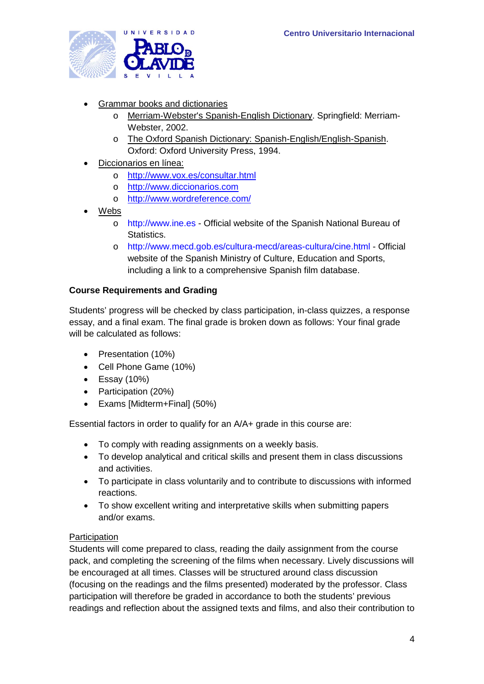

- Grammar books and dictionaries
	- o Merriam-Webster's Spanish-English Dictionary. Springfield: Merriam-Webster, 2002.
	- o The Oxford Spanish Dictionary: Spanish-English/English-Spanish. Oxford: Oxford University Press, 1994.
- Diccionarios en línea:
	- o <http://www.vox.es/consultar.html>
	- o [http://www.diccionarios.com](http://www.diccionarios.com/)
	- o <http://www.wordreference.com/>
- Webs
	- o http://www.ine.es Official website of the Spanish National Bureau of Statistics.
	- o http://www.mecd.gob.es/cultura-mecd/areas-cultura/cine.html Official website of the Spanish Ministry of Culture, Education and Sports, including a link to a comprehensive Spanish film database.

### **Course Requirements and Grading**

Students' progress will be checked by class participation, in-class quizzes, a response essay, and a final exam. The final grade is broken down as follows: Your final grade will be calculated as follows:

- Presentation (10%)
- Cell Phone Game (10%)
- Essay (10%)
- Participation (20%)
- Exams [Midterm+Final] (50%)

Essential factors in order to qualify for an A/A+ grade in this course are:

- To comply with reading assignments on a weekly basis.
- To develop analytical and critical skills and present them in class discussions and activities.
- To participate in class voluntarily and to contribute to discussions with informed reactions.
- To show excellent writing and interpretative skills when submitting papers and/or exams.

### **Participation**

Students will come prepared to class, reading the daily assignment from the course pack, and completing the screening of the films when necessary. Lively discussions will be encouraged at all times. Classes will be structured around class discussion (focusing on the readings and the films presented) moderated by the professor. Class participation will therefore be graded in accordance to both the students' previous readings and reflection about the assigned texts and films, and also their contribution to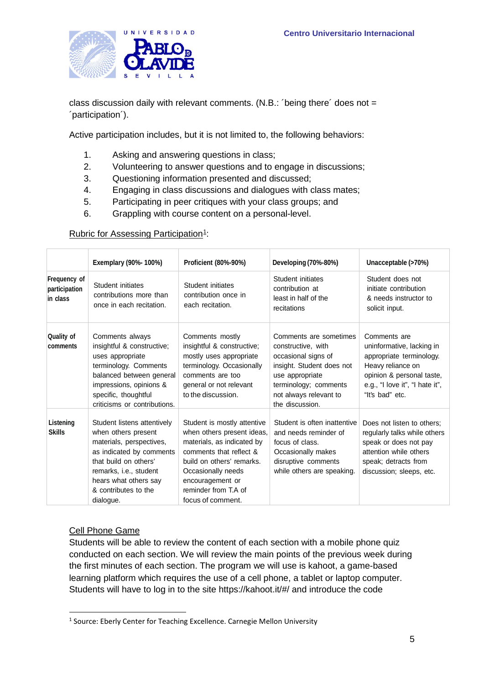

class discussion daily with relevant comments. (N.B.: 'being there' does not = ´participation´).

Active participation includes, but it is not limited to, the following behaviors:

- 1. Asking and answering questions in class;
- 2. Volunteering to answer questions and to engage in discussions;
- 3. Questioning information presented and discussed;
- 4. Engaging in class discussions and dialogues with class mates;
- 5. Participating in peer critiques with your class groups; and
- 6. Grappling with course content on a personal-level.

### Rubric for Assessing Participation<sup>[1](#page-4-0)</sup>:

|                                           | Exemplary (90%- 100%)                                                                                                                                                                                                       | Proficient (80%-90%)                                                                                                                                                                                                                   | Developing (70%-80%)                                                                                                                                                                      | Unacceptable (>70%)                                                                                                                                                           |
|-------------------------------------------|-----------------------------------------------------------------------------------------------------------------------------------------------------------------------------------------------------------------------------|----------------------------------------------------------------------------------------------------------------------------------------------------------------------------------------------------------------------------------------|-------------------------------------------------------------------------------------------------------------------------------------------------------------------------------------------|-------------------------------------------------------------------------------------------------------------------------------------------------------------------------------|
| Frequency of<br>participation<br>in class | Student initiates<br>contributions more than<br>once in each recitation.                                                                                                                                                    | Student initiates<br>contribution once in<br>each recitation.                                                                                                                                                                          | Student initiates<br>contribution at<br>least in half of the<br>recitations                                                                                                               | Student does not<br>initiate contribution<br>& needs instructor to<br>solicit input.                                                                                          |
| <b>Quality of</b><br>comments             | Comments always<br>insightful & constructive;<br>uses appropriate<br>terminology. Comments<br>balanced between general<br>impressions, opinions &<br>specific, thoughtful<br>criticisms or contributions.                   | Comments mostly<br>insightful & constructive;<br>mostly uses appropriate<br>terminology. Occasionally<br>comments are too<br>general or not relevant<br>to the discussion.                                                             | Comments are sometimes<br>constructive, with<br>occasional signs of<br>insight. Student does not<br>use appropriate<br>terminology; comments<br>not always relevant to<br>the discussion. | Comments are<br>uninformative, lacking in<br>appropriate terminology.<br>Heavy reliance on<br>opinion & personal taste,<br>e.g., "I love it", "I hate it",<br>"It's bad" etc. |
| Listening<br><b>Skills</b>                | Student listens attentively<br>when others present<br>materials, perspectives,<br>as indicated by comments<br>that build on others'<br>remarks, i.e., student<br>hears what others say<br>& contributes to the<br>dialogue. | Student is mostly attentive<br>when others present ideas,<br>materials, as indicated by<br>comments that reflect &<br>build on others' remarks.<br>Occasionally needs<br>encouragement or<br>reminder from T.A of<br>focus of comment. | Student is often inattentive<br>and needs reminder of<br>focus of class.<br>Occasionally makes<br>disruptive comments<br>while others are speaking.                                       | Does not listen to others;<br>regularly talks while others<br>speak or does not pay<br>attention while others<br>speak; detracts from<br>discussion; sleeps, etc.             |

### Cell Phone Game

Students will be able to review the content of each section with a mobile phone quiz conducted on each section. We will review the main points of the previous week during the first minutes of each section. The program we will use is kahoot, a game-based learning platform which requires the use of a cell phone, a tablet or laptop computer. Students will have to log in to the site https://kahoot.it/#/ and introduce the code

<span id="page-4-0"></span><sup>&</sup>lt;sup>1</sup> Source: Eberly Center for Teaching Excellence. Carnegie Mellon University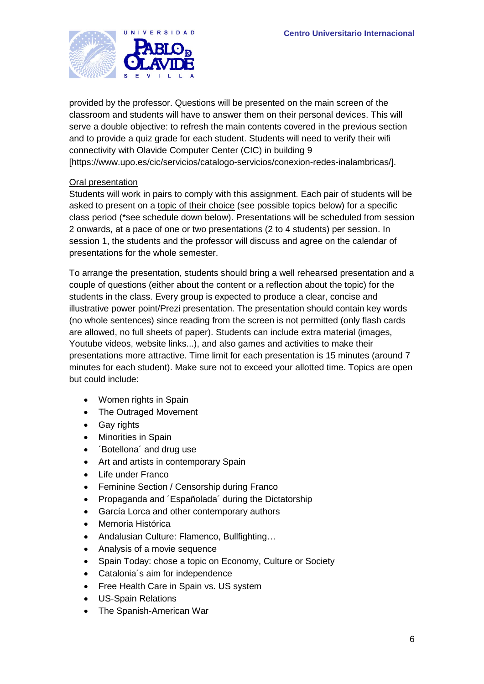

provided by the professor. Questions will be presented on the main screen of the classroom and students will have to answer them on their personal devices. This will serve a double objective: to refresh the main contents covered in the previous section and to provide a quiz grade for each student. Students will need to verify their wifi connectivity with Olavide Computer Center (CIC) in building 9 [https://www.upo.es/cic/servicios/catalogo-servicios/conexion-redes-inalambricas/].

# Oral presentation

Students will work in pairs to comply with this assignment. Each pair of students will be asked to present on a topic of their choice (see possible topics below) for a specific class period (\*see schedule down below). Presentations will be scheduled from session 2 onwards, at a pace of one or two presentations (2 to 4 students) per session. In session 1, the students and the professor will discuss and agree on the calendar of presentations for the whole semester.

To arrange the presentation, students should bring a well rehearsed presentation and a couple of questions (either about the content or a reflection about the topic) for the students in the class. Every group is expected to produce a clear, concise and illustrative power point/Prezi presentation. The presentation should contain key words (no whole sentences) since reading from the screen is not permitted (only flash cards are allowed, no full sheets of paper). Students can include extra material (images, Youtube videos, website links...), and also games and activities to make their presentations more attractive. Time limit for each presentation is 15 minutes (around 7 minutes for each student). Make sure not to exceed your allotted time. Topics are open but could include:

- Women rights in Spain
- The Outraged Movement
- Gay rights
- Minorities in Spain
- ´Botellona´ and drug use
- Art and artists in contemporary Spain
- Life under Franco
- Feminine Section / Censorship during Franco
- Propaganda and ´Españolada´ during the Dictatorship
- García Lorca and other contemporary authors
- Memoria Histórica
- Andalusian Culture: Flamenco, Bullfighting…
- Analysis of a movie sequence
- Spain Today: chose a topic on Economy, Culture or Society
- Catalonia´s aim for independence
- Free Health Care in Spain vs. US system
- US-Spain Relations
- The Spanish-American War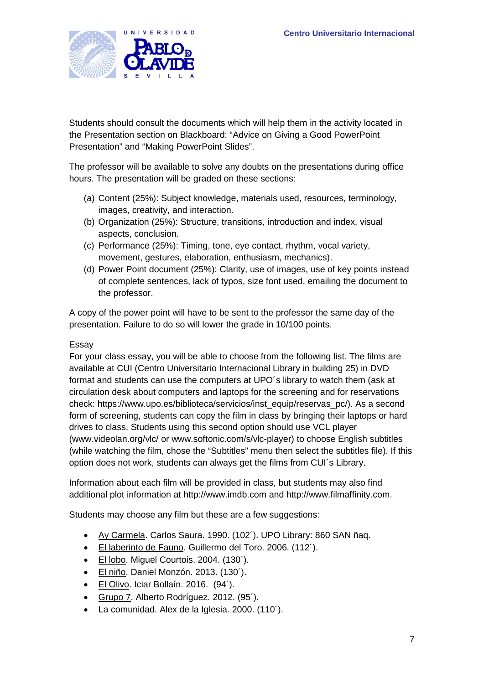

Students should consult the documents which will help them in the activity located in the Presentation section on Blackboard: "Advice on Giving a Good PowerPoint Presentation" and "Making PowerPoint Slides".

The professor will be available to solve any doubts on the presentations during office hours. The presentation will be graded on these sections:

- (a) Content (25%): Subject knowledge, materials used, resources, terminology, images, creativity, and interaction.
- (b) Organization (25%): Structure, transitions, introduction and index, visual aspects, conclusion.
- (c) Performance (25%): Timing, tone, eye contact, rhythm, vocal variety, movement, gestures, elaboration, enthusiasm, mechanics).
- (d) Power Point document (25%): Clarity, use of images, use of key points instead of complete sentences, lack of typos, size font used, emailing the document to the professor.

A copy of the power point will have to be sent to the professor the same day of the presentation. Failure to do so will lower the grade in 10/100 points.

### Essay

For your class essay, you will be able to choose from the following list. The films are available at CUI (Centro Universitario Internacional Library in building 25) in DVD format and students can use the computers at UPO´s library to watch them (ask at circulation desk about computers and laptops for the screening and for reservations check: https://www.upo.es/biblioteca/servicios/inst\_equip/reservas\_pc/). As a second form of screening, students can copy the film in class by bringing their laptops or hard drives to class. Students using this second option should use VCL player (www.videolan.org/vlc/ or www.softonic.com/s/vlc-player) to choose English subtitles (while watching the film, chose the "Subtitles" menu then select the subtitles file). If this option does not work, students can always get the films from CUI´s Library.

Information about each film will be provided in class, but students may also find additional plot information at http://www.imdb.com and http://www.filmaffinity.com.

Students may choose any film but these are a few suggestions:

- Ay Carmela. Carlos Saura. 1990. (102´). UPO Library: 860 SAN ñaq.
- El laberinto de Fauno. Guillermo del Toro. 2006. (112´).
- El lobo. Miguel Courtois. 2004. (130´).
- El niño. Daniel Monzón. 2013. (130<sup>'</sup>).
- El Olivo. Iciar Bollaín. 2016. (94´).
- Grupo 7. Alberto Rodríguez. 2012. (95´).
- La comunidad. Alex de la Iglesia. 2000. (110<sup>'</sup>).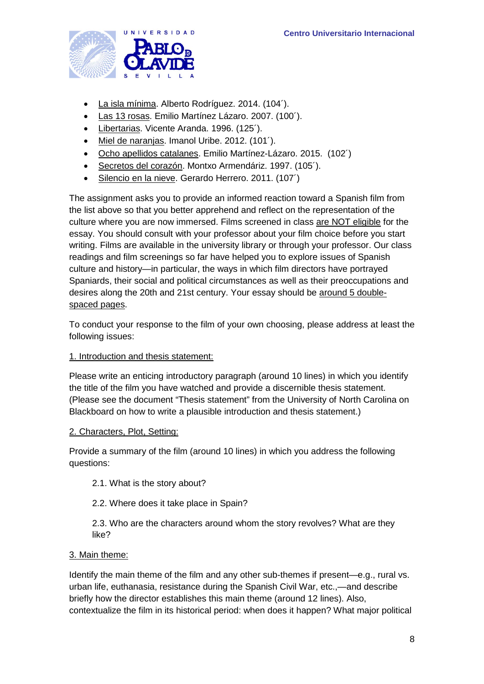

- La isla mínima. Alberto Rodríguez. 2014. (104´).
- Las 13 rosas. Emilio Martínez Lázaro. 2007. (100´).
- Libertarias. Vicente Aranda. 1996. (125<sup>'</sup>).
- Miel de naranjas. Imanol Uribe. 2012. (101´).
- Ocho apellidos catalanes. Emilio Martínez-Lázaro. 2015. (102´)
- Secretos del corazón. Montxo Armendáriz. 1997. (105´).
- Silencio en la nieve. Gerardo Herrero. 2011. (107<sup>^</sup>)

The assignment asks you to provide an informed reaction toward a Spanish film from the list above so that you better apprehend and reflect on the representation of the culture where you are now immersed. Films screened in class are NOT eligible for the essay. You should consult with your professor about your film choice before you start writing. Films are available in the university library or through your professor. Our class readings and film screenings so far have helped you to explore issues of Spanish culture and history—in particular, the ways in which film directors have portrayed Spaniards, their social and political circumstances as well as their preoccupations and desires along the 20th and 21st century. Your essay should be around 5 doublespaced pages.

To conduct your response to the film of your own choosing, please address at least the following issues:

#### 1. Introduction and thesis statement:

Please write an enticing introductory paragraph (around 10 lines) in which you identify the title of the film you have watched and provide a discernible thesis statement. (Please see the document "Thesis statement" from the University of North Carolina on Blackboard on how to write a plausible introduction and thesis statement.)

#### 2. Characters, Plot, Setting:

Provide a summary of the film (around 10 lines) in which you address the following questions:

- 2.1. What is the story about?
- 2.2. Where does it take place in Spain?

2.3. Who are the characters around whom the story revolves? What are they like?

#### 3. Main theme:

Identify the main theme of the film and any other sub-themes if present—e.g., rural vs. urban life, euthanasia, resistance during the Spanish Civil War, etc.,—and describe briefly how the director establishes this main theme (around 12 lines). Also, contextualize the film in its historical period: when does it happen? What major political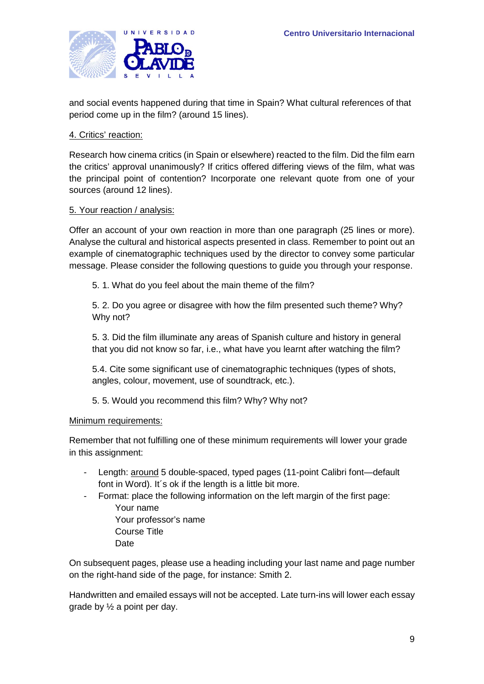

and social events happened during that time in Spain? What cultural references of that period come up in the film? (around 15 lines).

#### 4. Critics' reaction:

Research how cinema critics (in Spain or elsewhere) reacted to the film. Did the film earn the critics' approval unanimously? If critics offered differing views of the film, what was the principal point of contention? Incorporate one relevant quote from one of your sources (around 12 lines).

#### 5. Your reaction / analysis:

Offer an account of your own reaction in more than one paragraph (25 lines or more). Analyse the cultural and historical aspects presented in class. Remember to point out an example of cinematographic techniques used by the director to convey some particular message. Please consider the following questions to guide you through your response.

5. 1. What do you feel about the main theme of the film?

5. 2. Do you agree or disagree with how the film presented such theme? Why? Why not?

5. 3. Did the film illuminate any areas of Spanish culture and history in general that you did not know so far, i.e., what have you learnt after watching the film?

5.4. Cite some significant use of cinematographic techniques (types of shots, angles, colour, movement, use of soundtrack, etc.).

5. 5. Would you recommend this film? Why? Why not?

#### Minimum requirements:

Remember that not fulfilling one of these minimum requirements will lower your grade in this assignment:

- Length: around 5 double-spaced, typed pages (11-point Calibri font-default font in Word). It´s ok if the length is a little bit more.
- Format: place the following information on the left margin of the first page: Your name
	- Your professor's name Course Title **Date**

On subsequent pages, please use a heading including your last name and page number on the right-hand side of the page, for instance: Smith 2.

Handwritten and emailed essays will not be accepted. Late turn-ins will lower each essay grade by ½ a point per day.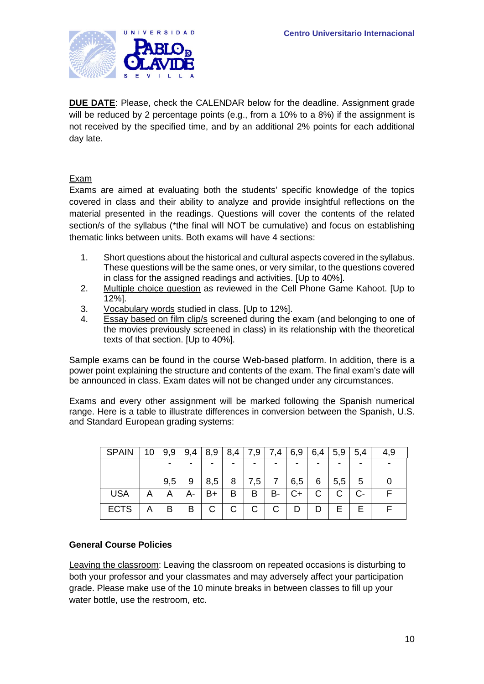

**DUE DATE**: Please, check the CALENDAR below for the deadline. Assignment grade will be reduced by 2 percentage points (e.g., from a 10% to a 8%) if the assignment is not received by the specified time, and by an additional 2% points for each additional day late.

#### Exam

Exams are aimed at evaluating both the students' specific knowledge of the topics covered in class and their ability to analyze and provide insightful reflections on the material presented in the readings. Questions will cover the contents of the related section/s of the syllabus (\*the final will NOT be cumulative) and focus on establishing thematic links between units. Both exams will have 4 sections:

- 1. Short questions about the historical and cultural aspects covered in the syllabus. These questions will be the same ones, or very similar, to the questions covered in class for the assigned readings and activities. [Up to 40%].
- 2. Multiple choice question as reviewed in the Cell Phone Game Kahoot. [Up to 12%].
- 3. Vocabulary words studied in class. [Up to 12%].
- 4. Essay based on film clip/s screened during the exam (and belonging to one of the movies previously screened in class) in its relationship with the theoretical texts of that section. [Up to 40%].

Sample exams can be found in the course Web-based platform. In addition, there is a power point explaining the structure and contents of the exam. The final exam's date will be announced in class. Exam dates will not be changed under any circumstances.

Exams and every other assignment will be marked following the Spanish numerical range. Here is a table to illustrate differences in conversion between the Spanish, U.S. and Standard European grading systems:

| <b>SPAIN</b> | 10 | 9.9 | 9,4 | 8,9          | 8,4 | 7,9 | .4             | 6,9 | 6,4 | 5,9 | 5,4 | 4.9 |
|--------------|----|-----|-----|--------------|-----|-----|----------------|-----|-----|-----|-----|-----|
|              |    |     |     | -            | -   |     |                |     |     |     | -   |     |
|              |    | 9,5 | 9   | 8,5          | 8   | 7,5 | $\overline{7}$ | 6,5 | 6   | 5,5 | 5   |     |
| <b>USA</b>   | A  | Α   | А-  | B+           | в   | B   | в-             | C+  | С   | С   | C-  |     |
| <b>ECTS</b>  | Α  | В   | B   | $\mathsf{C}$ | C   | C   |                | D   |     | Е   | E   |     |

### **General Course Policies**

Leaving the classroom: Leaving the classroom on repeated occasions is disturbing to both your professor and your classmates and may adversely affect your participation grade. Please make use of the 10 minute breaks in between classes to fill up your water bottle, use the restroom, etc.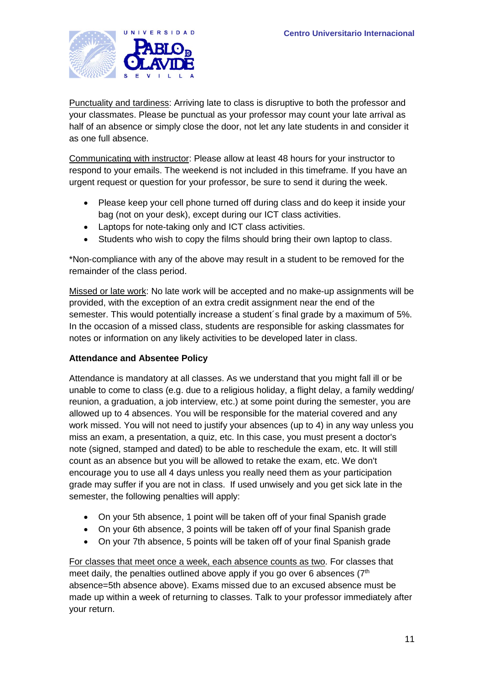

Punctuality and tardiness: Arriving late to class is disruptive to both the professor and your classmates. Please be punctual as your professor may count your late arrival as half of an absence or simply close the door, not let any late students in and consider it as one full absence.

Communicating with instructor: Please allow at least 48 hours for your instructor to respond to your emails. The weekend is not included in this timeframe. If you have an urgent request or question for your professor, be sure to send it during the week.

- Please keep your cell phone turned off during class and do keep it inside your bag (not on your desk), except during our ICT class activities.
- Laptops for note-taking only and ICT class activities.
- Students who wish to copy the films should bring their own laptop to class.

\*Non-compliance with any of the above may result in a student to be removed for the remainder of the class period.

Missed or late work: No late work will be accepted and no make-up assignments will be provided, with the exception of an extra credit assignment near the end of the semester. This would potentially increase a student´s final grade by a maximum of 5%. In the occasion of a missed class, students are responsible for asking classmates for notes or information on any likely activities to be developed later in class.

### **Attendance and Absentee Policy**

Attendance is mandatory at all classes. As we understand that you might fall ill or be unable to come to class (e.g. due to a religious holiday, a flight delay, a family wedding/ reunion, a graduation, a job interview, etc.) at some point during the semester, you are allowed up to 4 absences. You will be responsible for the material covered and any work missed. You will not need to justify your absences (up to 4) in any way unless you miss an exam, a presentation, a quiz, etc. In this case, you must present a doctor's note (signed, stamped and dated) to be able to reschedule the exam, etc. It will still count as an absence but you will be allowed to retake the exam, etc. We don't encourage you to use all 4 days unless you really need them as your participation grade may suffer if you are not in class. If used unwisely and you get sick late in the semester, the following penalties will apply:

- On your 5th absence, 1 point will be taken off of your final Spanish grade
- On your 6th absence, 3 points will be taken off of your final Spanish grade
- On your 7th absence, 5 points will be taken off of your final Spanish grade

For classes that meet once a week, each absence counts as two. For classes that meet daily, the penalties outlined above apply if you go over 6 absences  $(7<sup>th</sup>)$ absence=5th absence above). Exams missed due to an excused absence must be made up within a week of returning to classes. Talk to your professor immediately after your return.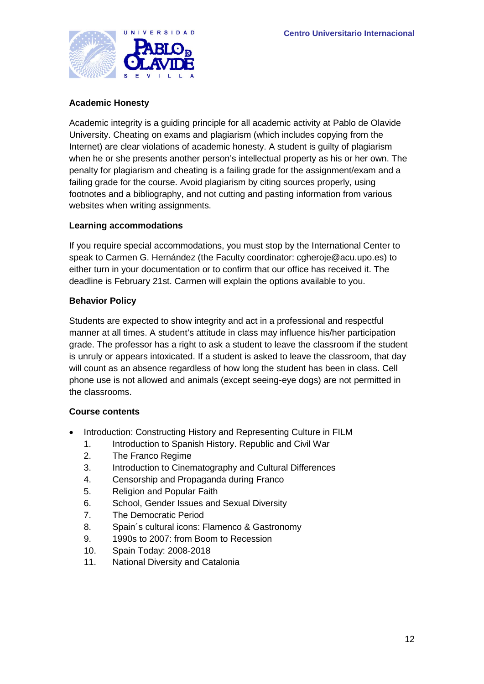

### **Academic Honesty**

Academic integrity is a guiding principle for all academic activity at Pablo de Olavide University. Cheating on exams and plagiarism (which includes copying from the Internet) are clear violations of academic honesty. A student is guilty of plagiarism when he or she presents another person's intellectual property as his or her own. The penalty for plagiarism and cheating is a failing grade for the assignment/exam and a failing grade for the course. Avoid plagiarism by citing sources properly, using footnotes and a bibliography, and not cutting and pasting information from various websites when writing assignments.

#### **Learning accommodations**

If you require special accommodations, you must stop by the International Center to speak to Carmen G. Hernández (the Faculty coordinator: cgheroje@acu.upo.es) to either turn in your documentation or to confirm that our office has received it. The deadline is February 21st. Carmen will explain the options available to you.

#### **Behavior Policy**

Students are expected to show integrity and act in a professional and respectful manner at all times. A student's attitude in class may influence his/her participation grade. The professor has a right to ask a student to leave the classroom if the student is unruly or appears intoxicated. If a student is asked to leave the classroom, that day will count as an absence regardless of how long the student has been in class. Cell phone use is not allowed and animals (except seeing-eye dogs) are not permitted in the classrooms.

#### **Course contents**

- Introduction: Constructing History and Representing Culture in FILM
	- 1. Introduction to Spanish History. Republic and Civil War
	- 2. The Franco Regime
	- 3. Introduction to Cinematography and Cultural Differences
	- 4. Censorship and Propaganda during Franco
	- 5. Religion and Popular Faith
	- 6. School, Gender Issues and Sexual Diversity
	- 7. The Democratic Period
	- 8. Spain´s cultural icons: Flamenco & Gastronomy
	- 9. 1990s to 2007: from Boom to Recession
	- 10. Spain Today: 2008-2018
	- 11. National Diversity and Catalonia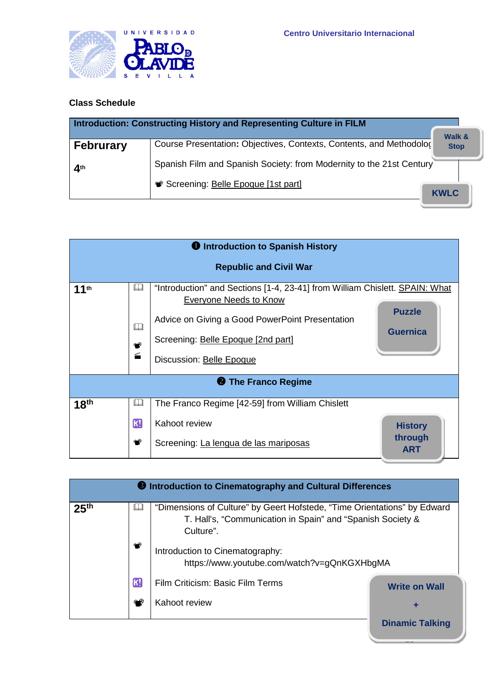

# **Class Schedule**

|                  | Introduction: Constructing History and Representing Culture in FILM  |                                  |
|------------------|----------------------------------------------------------------------|----------------------------------|
| <b>Februrary</b> | Course Presentation: Objectives, Contexts, Contents, and Methodolo(  | <b>Walk &amp;</b><br><b>Stop</b> |
| 4 <sup>th</sup>  | Spanish Film and Spanish Society: from Modernity to the 21st Century |                                  |
|                  | Screening: Belle Epoque [1st part]                                   | <b>KWLC</b>                      |

|                  |                                            | <b>U</b> Introduction to Spanish History                                                                                                                                                                                          |                                         |  |  |  |  |
|------------------|--------------------------------------------|-----------------------------------------------------------------------------------------------------------------------------------------------------------------------------------------------------------------------------------|-----------------------------------------|--|--|--|--|
|                  | <b>Republic and Civil War</b>              |                                                                                                                                                                                                                                   |                                         |  |  |  |  |
| 11th             | $\mathbb L$<br>$\Box$<br>۰Ø<br><b>Room</b> | "Introduction" and Sections [1-4, 23-41] from William Chislett. <b>SPAIN: What</b><br>Everyone Needs to Know<br>Advice on Giving a Good PowerPoint Presentation<br>Screening: Belle Epoque [2nd part]<br>Discussion: Belle Epoque | <b>Puzzle</b><br><b>Guernica</b>        |  |  |  |  |
|                  |                                            | <b>2</b> The Franco Regime                                                                                                                                                                                                        |                                         |  |  |  |  |
| 18 <sup>th</sup> | Ш                                          | The Franco Regime [42-59] from William Chislett                                                                                                                                                                                   |                                         |  |  |  |  |
|                  | K<br>ФØ                                    | Kahoot review<br>Screening: La lengua de las mariposas                                                                                                                                                                            | <b>History</b><br>through<br><b>ART</b> |  |  |  |  |

|                  |                | <b>B</b> Introduction to Cinematography and Cultural Differences                                                                                    |                        |  |  |
|------------------|----------------|-----------------------------------------------------------------------------------------------------------------------------------------------------|------------------------|--|--|
| 25 <sup>th</sup> | $\mathbb L$    | "Dimensions of Culture" by Geert Hofstede, "Time Orientations" by Edward<br>T. Hall's, "Communication in Spain" and "Spanish Society &<br>Culture". |                        |  |  |
|                  | $\circledcirc$ | Introduction to Cinematography:<br>https://www.youtube.com/watch?v=gQnKGXHbgMA                                                                      |                        |  |  |
|                  | <b>K!</b>      | Film Criticism: Basic Film Terms                                                                                                                    | <b>Write on Wall</b>   |  |  |
|                  |                | Kahoot review                                                                                                                                       | ٠                      |  |  |
|                  |                |                                                                                                                                                     | <b>Dinamic Talking</b> |  |  |

 $\overline{\phantom{a}}$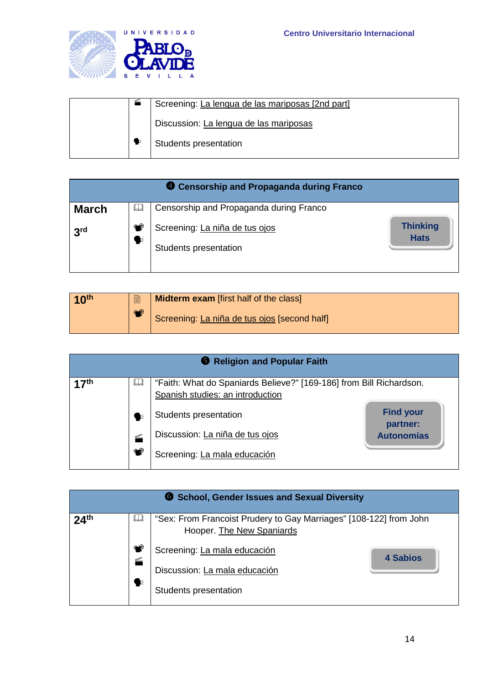

|  | Screening: La lengua de las mariposas [2nd part] |
|--|--------------------------------------------------|
|  | Discussion: La lengua de las mariposas           |
|  | Students presentation                            |

|                 |         | <b>4</b> Censorship and Propaganda during Franco        |                                |
|-----------------|---------|---------------------------------------------------------|--------------------------------|
| <b>March</b>    | HJ      | Censorship and Propaganda during Franco                 |                                |
| 3 <sup>rd</sup> | ⊕⊛<br>❤ | Screening: La niña de tus ojos<br>Students presentation | <b>Thinking</b><br><b>Hats</b> |

| 10 <sup>th</sup> | le | <b>Midterm exam</b> [first half of the class] |
|------------------|----|-----------------------------------------------|
|                  | ❤  | Screening: La niña de tus ojos [second half]  |

|                  |             | Religion and Popular Faith                                          |                              |
|------------------|-------------|---------------------------------------------------------------------|------------------------------|
| 17 <sup>th</sup> | $\Box$      | "Faith: What do Spaniards Believe?" [169-186] from Bill Richardson. |                              |
|                  |             | Spanish studies: an introduction                                    |                              |
|                  | K           | Students presentation                                               | <b>Find your</b><br>partner: |
|                  | <b>Room</b> | Discussion: La niña de tus ojos                                     | <b>Autonomías</b>            |
|                  | ا®          | Screening: La mala educación                                        |                              |

|                  |                  | <b>6</b> School, Gender Issues and Sexual Diversity                                             |          |
|------------------|------------------|-------------------------------------------------------------------------------------------------|----------|
| 24 <sup>th</sup> | IJ               | "Sex: From Francoist Prudery to Gay Marriages" [108-122] from John<br>Hooper. The New Spaniards |          |
|                  | <b>Room</b><br>❤ | Screening: La mala educación<br>Discussion: La mala educación                                   | 4 Sabios |
|                  |                  | Students presentation                                                                           |          |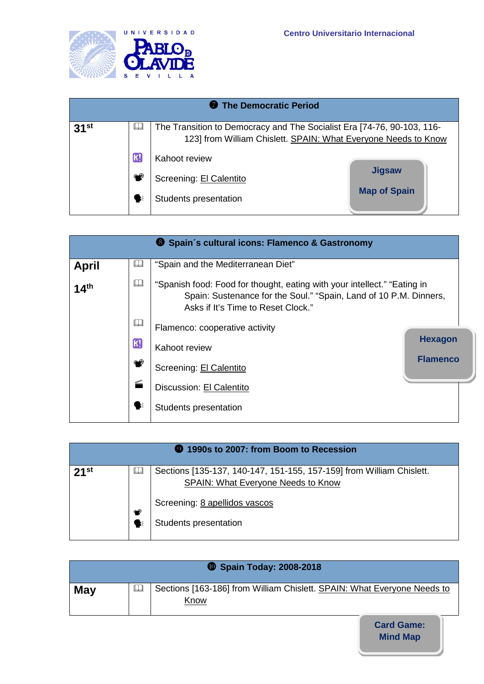

| The Democratic Period |    |                                                                                                                                          |                     |  |  |  |
|-----------------------|----|------------------------------------------------------------------------------------------------------------------------------------------|---------------------|--|--|--|
| 31 <sup>st</sup>      | IJ | The Transition to Democracy and The Socialist Era [74-76, 90-103, 116-<br>123] from William Chislett. SPAIN: What Everyone Needs to Know |                     |  |  |  |
|                       | K) | Kahoot review                                                                                                                            |                     |  |  |  |
|                       |    | Screening: El Calentito                                                                                                                  | <b>Jigsaw</b>       |  |  |  |
|                       | 长  | Students presentation                                                                                                                    | <b>Map of Spain</b> |  |  |  |

|                  |                           | <sup>3</sup> Spain's cultural icons: Flamenco & Gastronomy                                                                                                                          |                 |
|------------------|---------------------------|-------------------------------------------------------------------------------------------------------------------------------------------------------------------------------------|-----------------|
| <b>April</b>     | HJ                        | "Spain and the Mediterranean Diet"                                                                                                                                                  |                 |
| 14 <sup>th</sup> | Ш                         | "Spanish food: Food for thought, eating with your intellect." "Eating in<br>Spain: Sustenance for the Soul." "Spain, Land of 10 P.M. Dinners,<br>Asks if It's Time to Reset Clock." |                 |
|                  | Ш                         | Flamenco: cooperative activity                                                                                                                                                      |                 |
|                  | $\left[\mathrm{K}\right]$ | Kahoot review                                                                                                                                                                       | <b>Hexagon</b>  |
|                  | ⊕                         | Screening: El Calentito                                                                                                                                                             | <b>Flamenco</b> |
|                  | <b>Room</b>               | Discussion: El Calentito                                                                                                                                                            |                 |
|                  | $\geq$                    | Students presentation                                                                                                                                                               |                 |

| <b>9</b> 1990s to 2007: from Boom to Recession |        |                                                                                                                   |  |  |
|------------------------------------------------|--------|-------------------------------------------------------------------------------------------------------------------|--|--|
| $21$ <sup>st</sup>                             | IJ     | Sections [135-137, 140-147, 151-155, 157-159] from William Chislett.<br><b>SPAIN: What Everyone Needs to Know</b> |  |  |
|                                                | ❤<br>₹ | Screening: 8 apellidos vascos<br>Students presentation                                                            |  |  |

|            |    | <b>10 Spain Today: 2008-2018</b>                                                |
|------------|----|---------------------------------------------------------------------------------|
| <b>May</b> | HJ | Sections [163-186] from William Chislett. SPAIN: What Everyone Needs to<br>Know |

**Mind Map Card Game:**